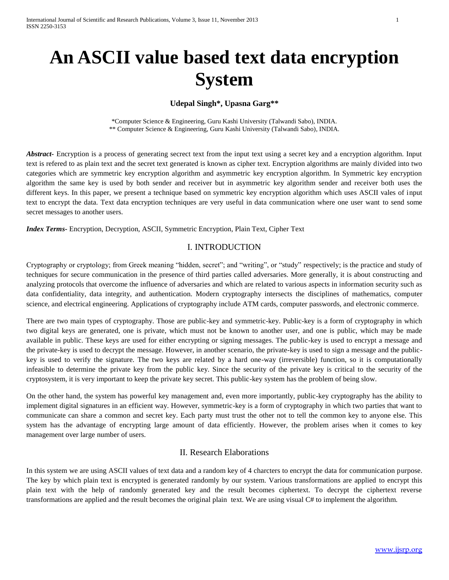# **An ASCII value based text data encryption System**

## **Udepal Singh\*, Upasna Garg\*\***

\*Computer Science & Engineering, Guru Kashi University (Talwandi Sabo), INDIA. \*\* Computer Science & Engineering, Guru Kashi University (Talwandi Sabo), INDIA.

*Abstract-* Encryption is a process of generating secrect text from the input text using a secret key and a encryption algorithm. Input text is refered to as plain text and the secret text generated is known as cipher text. Encryption algorithms are mainly divided into two categories which are symmetric key encryption algorithm and asymmetric key encryption algorithm. In Symmetric key encryption algorithm the same key is used by both sender and receiver but in asymmetric key algorithm sender and receiver both uses the different keys. In this paper, we present a technique based on symmetric key encryption algorithm which uses ASCII vales of input text to encrypt the data. Text data encryption techniques are very useful in data communication where one user want to send some secret messages to another users.

*Index Terms-* Encryption, Decryption, ASCII, Symmetric Encryption, Plain Text, Cipher Text

## I. INTRODUCTION

Cryptography or cryptology; from Greek meaning "hidden, secret"; and "writing", or "study" respectively; is the practice and study of techniques for secure communication in the presence of third parties called adversaries. More generally, it is about constructing and analyzing protocols that overcome the influence of adversaries and which are related to various aspects in information security such as data confidentiality, data integrity, and authentication. Modern cryptography intersects the disciplines of mathematics, computer science, and electrical engineering. Applications of cryptography include ATM cards, computer passwords, and electronic commerce.

There are two main types of cryptography. Those are public-key and symmetric-key. Public-key is a form of cryptography in which two digital keys are generated, one is private, which must not be known to another user, and one is public, which may be made available in public. These keys are used for either encrypting or signing messages. The public-key is used to encrypt a message and the private-key is used to decrypt the message. However, in another scenario, the private-key is used to sign a message and the publickey is used to verify the signature. The two keys are related by a hard one-way (irreversible) function, so it is computationally infeasible to determine the private key from the public key. Since the security of the private key is critical to the security of the cryptosystem, it is very important to keep the private key secret. This public-key system has the problem of being slow.

On the other hand, the system has powerful key management and, even more importantly, public-key cryptography has the ability to implement digital signatures in an efficient way. However, symmetric-key is a form of cryptography in which two parties that want to communicate can share a common and secret key. Each party must trust the other not to tell the common key to anyone else. This system has the advantage of encrypting large amount of data efficiently. However, the problem arises when it comes to key management over large number of users.

# II. Research Elaborations

In this system we are using ASCII values of text data and a random key of 4 charcters to encrypt the data for communication purpose. The key by which plain text is encrypted is generated randomly by our system. Various transformations are applied to encrypt this plain text with the help of randomly generated key and the result becomes ciphertext. To decrypt the ciphertext reverse transformations are applied and the result becomes the original plain text. We are using visual C# to implement the algorithm.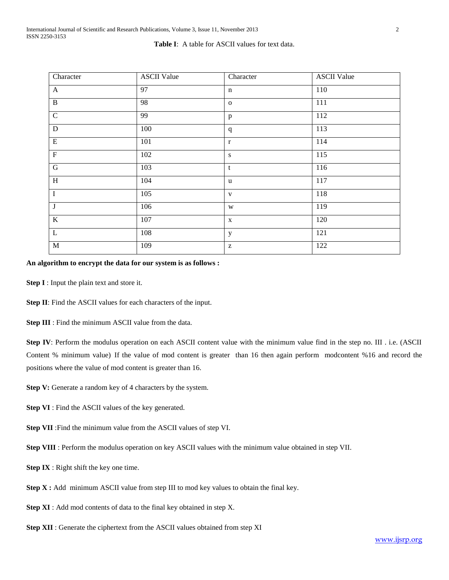#### **Table I**: A table for ASCII values for text data.

| Character               | <b>ASCII Value</b> | Character                                             | <b>ASCII Value</b> |
|-------------------------|--------------------|-------------------------------------------------------|--------------------|
| $\mathbf{A}$            | 97                 | $\mathbf n$                                           | 110                |
| $\overline{B}$          | 98                 | $\mathbf{O}$                                          | 111                |
| ${\bf C}$               | 99                 | $\, {\bf p}$                                          | 112                |
| $\overline{D}$          | 100                | $\mathbf{q}$                                          | 113                |
| E                       | 101                | $\mathbf{r}$                                          | 114                |
| $\overline{\mathrm{F}}$ | 102                | ${\bf S}$                                             | 115                |
| $\overline{G}$          | 103                | $\mathbf t$                                           | 116                |
| $\, {\rm H}$            | 104                | <b>u</b>                                              | 117                |
| $\overline{I}$          | 105                | V                                                     | 118                |
| $\overline{\mathbf{J}}$ | 106                | $\ensuremath{\text{W}}$                               | 119                |
| $\,$ K                  | 107                | $\mathbf X$                                           | 120                |
| $\overline{L}$          | 108                | $\mathbf y$                                           | 121                |
| $\overline{M}$          | 109                | $\mathbf{Z}% ^{T}=\mathbf{Z}^{T}\times\mathbf{Z}^{T}$ | 122                |

#### **An algorithm to encrypt the data for our system is as follows :**

**Step I** : Input the plain text and store it.

**Step II**: Find the ASCII values for each characters of the input.

**Step III** : Find the minimum ASCII value from the data.

**Step IV**: Perform the modulus operation on each ASCII content value with the minimum value find in the step no. III . i.e. (ASCII Content % minimum value) If the value of mod content is greater than 16 then again perform modcontent %16 and record the positions where the value of mod content is greater than 16.

**Step V:** Generate a random key of 4 characters by the system.

**Step VI** : Find the ASCII values of the key generated.

**Step VII** :Find the minimum value from the ASCII values of step VI.

**Step VIII** : Perform the modulus operation on key ASCII values with the minimum value obtained in step VII.

**Step IX** : Right shift the key one time.

**Step X :** Add minimum ASCII value from step III to mod key values to obtain the final key.

**Step XI** : Add mod contents of data to the final key obtained in step X.

**Step XII** : Generate the ciphertext from the ASCII values obtained from step XI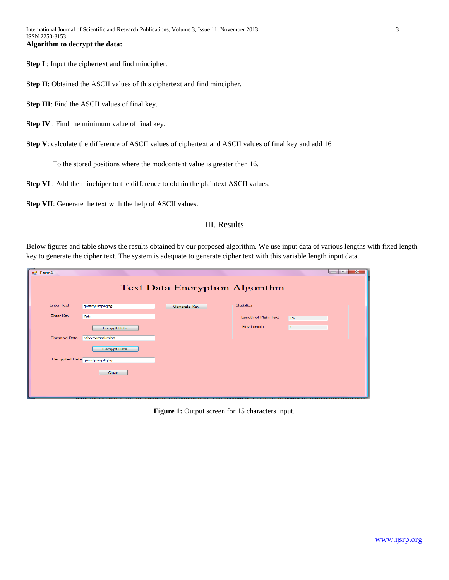**Step I** : Input the ciphertext and find mincipher.

**Step II**: Obtained the ASCII values of this ciphertext and find mincipher.

**Step III**: Find the ASCII values of final key.

**Step IV** : Find the minimum value of final key.

**Step V**: calculate the difference of ASCII values of ciphertext and ASCII values of final key and add 16

To the stored positions where the modcontent value is greater then 16.

**Step VI** : Add the minchiper to the difference to obtain the plaintext ASCII values.

**Step VII**: Generate the text with the help of ASCII values.

### III. Results

Below figures and table shows the results obtained by our porposed algorithm. We use input data of various lengths with fixed length key to generate the cipher text. The system is adequate to generate cipher text with this variable length input data.

| $n$ Form1                             |                                |              |                      |    | $\begin{array}{c c c c c c} \hline \multicolumn{3}{c }{\textbf{a}} & \multicolumn{3}{c }{\textbf{a}} \\ \hline \multicolumn{3}{c }{\textbf{b}} & \multicolumn{3}{c }{\textbf{c}} \\ \hline \multicolumn{3}{c }{\textbf{b}} & \multicolumn{3}{c }{\textbf{c}} \\ \hline \multicolumn{3}{c }{\textbf{b}} & \multicolumn{3}{c }{\textbf{c}} \\ \hline \multicolumn{3}{c }{\textbf{c}} & \multicolumn{3}{c }{\textbf{d}} \\ \hline \multicolumn{3}{c }{\textbf{b$<br>$-23$ |
|---------------------------------------|--------------------------------|--------------|----------------------|----|------------------------------------------------------------------------------------------------------------------------------------------------------------------------------------------------------------------------------------------------------------------------------------------------------------------------------------------------------------------------------------------------------------------------------------------------------------------------|
| <b>Text Data Encryption Algorithm</b> |                                |              |                      |    |                                                                                                                                                                                                                                                                                                                                                                                                                                                                        |
| <b>Enter Text</b>                     | qwertyuioplkjhg                | Generate Key | <b>Statistics</b>    |    |                                                                                                                                                                                                                                                                                                                                                                                                                                                                        |
| <b>Enter Key</b>                      | <b>ffeh</b>                    |              | Length of Plain Text | 15 |                                                                                                                                                                                                                                                                                                                                                                                                                                                                        |
|                                       | <b>Encrypt Data</b>            |              | Key Length           | 4  |                                                                                                                                                                                                                                                                                                                                                                                                                                                                        |
| <b>Enrypted Data</b>                  | bdrwzvirgmkmiha                |              |                      |    |                                                                                                                                                                                                                                                                                                                                                                                                                                                                        |
|                                       | Decrypt Data                   |              |                      |    |                                                                                                                                                                                                                                                                                                                                                                                                                                                                        |
|                                       | Decrypted Data qwertyuioplkjhg |              |                      |    |                                                                                                                                                                                                                                                                                                                                                                                                                                                                        |
|                                       | Clear                          |              |                      |    |                                                                                                                                                                                                                                                                                                                                                                                                                                                                        |
|                                       |                                |              |                      |    |                                                                                                                                                                                                                                                                                                                                                                                                                                                                        |

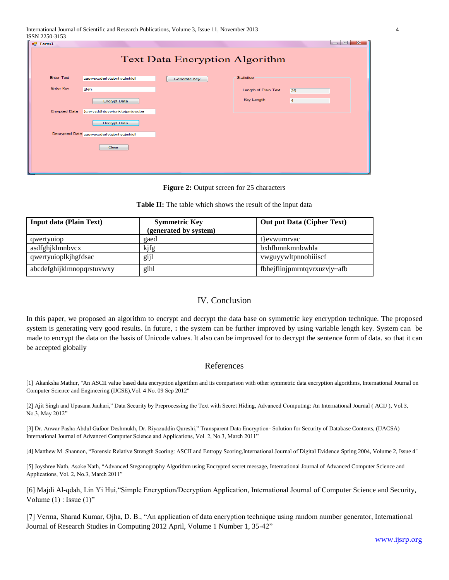| <i>ברוכ-חרדד גוממו</i><br>$-\mathbf{x}$<br>$\Box$ e<br>■ Form1<br><b>Text Data Encryption Algorithm</b> |                                          |              |                      |    |  |
|---------------------------------------------------------------------------------------------------------|------------------------------------------|--------------|----------------------|----|--|
| <b>Enter Text</b>                                                                                       | zagwsxcderfvtgbnhyujmkiol                | Generate Key | <b>Statistics</b>    |    |  |
| Enter Key                                                                                               | gfeh                                     |              | Length of Plain Text | 25 |  |
|                                                                                                         | <b>Encrypt Data</b>                      |              | Key Length           | 4  |  |
| <b>Enrypted Data</b>                                                                                    | }crwvzddhtgvwicnk{vjpmjoocba             |              |                      |    |  |
|                                                                                                         | Decrypt Data                             |              |                      |    |  |
|                                                                                                         | Decrypted Data zaqwsxcderfvtgbnhyujmkiol |              |                      |    |  |
|                                                                                                         | Clear                                    |              |                      |    |  |
|                                                                                                         |                                          |              |                      |    |  |
|                                                                                                         |                                          |              |                      |    |  |

**Figure 2:** Output screen for 25 characters

#### **Table II:** The table which shows the result of the input data

| <b>Input data (Plain Text)</b> | <b>Symmetric Key</b>  | <b>Out put Data (Cipher Text)</b> |
|--------------------------------|-----------------------|-----------------------------------|
|                                | (generated by system) |                                   |
| qwertyuiop                     | gaed                  | t evwumrvac                       |
| asdfghjklmnbvcx                | kjfg                  | bxhfhmnkmnbwhla                   |
| qwertyuioplkjhgfdsac           | gijl                  | vwguyywltpnnohiiiscf              |
| abcdefghijklmnopqrstuvwxy      | glhl                  | fbhejflinjpmrntqvrxuzv y~afb      |

# IV. Conclusion

In this paper, we proposed an algorithm to encrypt and decrypt the data base on symmetric key encryption technique. The proposed system is generating very good results. In future, **:** the system can be further improved by using variable length key. System can be made to encrypt the data on the basis of Unicode values. It also can be improved for to decrypt the sentence form of data. so that it can be accepted globally

## References

[1] Akanksha Mathur, "An ASCII value based data encryption algorithm and its comparison with other symmetric data encryption algorithms, International Journal on Computer Science and Engineering (IJCSE),Vol. 4 No. 09 Sep 2012"

[2] Ajit Singh and Upasana Jauhari," Data Security by Preprocessing the Text with Secret Hiding, Advanced Computing: An International Journal ( ACIJ ), Vol.3, No.3, May 2012"

[3] Dr. Anwar Pasha Abdul Gafoor Deshmukh, Dr. Riyazuddin Qureshi," Transparent Data Encryption- Solution for Security of Database Contents, (IJACSA) International Journal of Advanced Computer Science and Applications, Vol. 2, No.3, March 2011"

[4] Matthew M. Shannon, "Forensic Relative Strength Scoring: ASCII and Entropy Scoring,International Journal of Digital Evidence Spring 2004, Volume 2, Issue 4"

[5] Joyshree Nath, Asoke Nath, "Advanced Steganography Algorithm using Encrypted secret message, International Journal of Advanced Computer Science and Applications, Vol. 2, No.3, March 2011"

[6] Majdi Al-qdah, Lin Yi Hui,"Simple Encryption/Decryption Application, International Journal of Computer Science and Security, Volume  $(1)$  : Issue  $(1)$ "

[7] Verma, Sharad Kumar, Ojha, D. B., "An application of data encryption technique using random number generator, International Journal of Research Studies in Computing 2012 April, Volume 1 Number 1, 35-42"